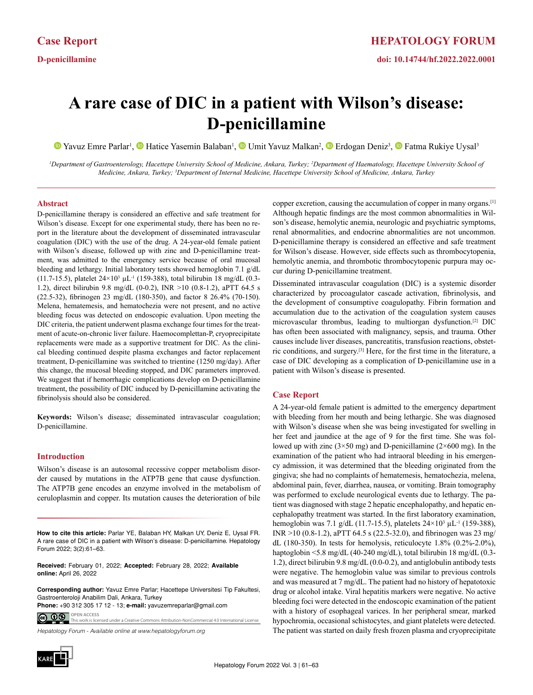# **A rare case of DIC in a patient with Wilson's disease: D-penicillamine**

Yavuz Emre Parlar<sup>1</sup>, **I** Hatice Yasemin Balaban<sup>1</sup>, **I** Umit Yavuz Malkan<sup>2</sup>, **I** Erdogan Deniz<sup>3</sup>, **I** Fatma Rukiye Uysal<sup>3</sup>

<sup>1</sup>Department of Gastroenterology, Hacettepe University School of Medicine, Ankara, Turkey; <sup>2</sup>Department of Haematology, Hacettepe University School of *Medicine, Ankara, Turkey; 3 Department of Internal Medicine, Hacettepe University School of Medicine, Ankara, Turkey*

## **Abstract**

D-penicillamine therapy is considered an effective and safe treatment for Wilson's disease. Except for one experimental study, there has been no report in the literature about the development of disseminated intravascular coagulation (DIC) with the use of the drug. A 24-year-old female patient with Wilson's disease, followed up with zinc and D-penicillamine treatment, was admitted to the emergency service because of oral mucosal bleeding and lethargy. Initial laboratory tests showed hemoglobin 7.1 g/dL (11.7-15.5), platelet  $24 \times 10^3$   $\mu$ L<sup>-1</sup> (159-388), total bilirubin 18 mg/dL (0.3-1.2), direct bilirubin 9.8 mg/dL (0-0.2), INR >10 (0.8-1.2), aPTT 64.5 s (22.5-32), fibrinogen 23 mg/dL (180-350), and factor 8 26.4% (70-150). Melena, hematemesis, and hematochezia were not present, and no active bleeding focus was detected on endoscopic evaluation. Upon meeting the DIC criteria, the patient underwent plasma exchange four times for the treatment of acute-on-chronic liver failure. Haemocomplettan-P, cryoprecipitate replacements were made as a supportive treatment for DIC. As the clinical bleeding continued despite plasma exchanges and factor replacement treatment, D-penicillamine was switched to trientine (1250 mg/day). After this change, the mucosal bleeding stopped, and DIC parameters improved. We suggest that if hemorrhagic complications develop on D-penicillamine treatment, the possibility of DIC induced by D-penicillamine activating the fibrinolysis should also be considered.

**Keywords:** Wilson's disease; disseminated intravascular coagulation; D-penicillamine.

## **Introduction**

Wilson's disease is an autosomal recessive copper metabolism disorder caused by mutations in the ATP7B gene that cause dysfunction. The ATP7B gene encodes an enzyme involved in the metabolism of ceruloplasmin and copper. Its mutation causes the deterioration of bile

**How to cite this article:** Parlar YE, Balaban HY, Malkan UY, Deniz E, Uysal FR. A rare case of DIC in a patient with Wilson's disease: D-penicillamine. Hepatology Forum 2022; 3(2):61–63.

**Received:** February 01, 2022; **Accepted:** February 28, 2022; **Available online:** April 26, 2022

**Corresponding author:** Yavuz Emre Parlar; Hacettepe Universitesi Tip Fakultesi, Gastroenteroloji Anabilim Dali, Ankara, Turkey

**Phone:** +90 312 305 17 12 - 13; **e-mail:** yavuzemreparlar@gmail.com**OPEN ACCESS** <u>© 0 ®</u> This work is licensed under a Creative Commons Attribution-NonCommercial 4.0 International License.

*Hepatology Forum - Available online at www.hepatologyforum.org*



copper excretion, causing the accumulation of copper in many organs.[1] Although hepatic findings are the most common abnormalities in Wilson's disease, hemolytic anemia, neurologic and psychiatric symptoms, renal abnormalities, and endocrine abnormalities are not uncommon. D-penicillamine therapy is considered an effective and safe treatment for Wilson's disease. However, side effects such as thrombocytopenia, hemolytic anemia, and thrombotic thrombocytopenic purpura may occur during D-penicillamine treatment.

Disseminated intravascular coagulation (DIC) is a systemic disorder characterized by procoagulator cascade activation, fibrinolysis, and the development of consumptive coagulopathy. Fibrin formation and accumulation due to the activation of the coagulation system causes microvascular thrombus, leading to multiorgan dysfunction.[2] DIC has often been associated with malignancy, sepsis, and trauma. Other causes include liver diseases, pancreatitis, transfusion reactions, obstetric conditions, and surgery.[3] Here, for the first time in the literature, a case of DIC developing as a complication of D-penicillamine use in a patient with Wilson's disease is presented.

# **Case Report**

A 24-year-old female patient is admitted to the emergency department with bleeding from her mouth and being lethargic. She was diagnosed with Wilson's disease when she was being investigated for swelling in her feet and jaundice at the age of 9 for the first time. She was followed up with zinc ( $3\times50$  mg) and D-penicillamine ( $2\times600$  mg). In the examination of the patient who had intraoral bleeding in his emergency admission, it was determined that the bleeding originated from the gingiva; she had no complaints of hematemesis, hematochezia, melena, abdominal pain, fever, diarrhea, nausea, or vomiting. Brain tomography was performed to exclude neurological events due to lethargy. The patient was diagnosed with stage 2 hepatic encephalopathy, and hepatic encephalopathy treatment was started. In the first laboratory examination, hemoglobin was 7.1 g/dL (11.7-15.5), platelets  $24 \times 10^3$   $\mu$ L<sup>-1</sup> (159-388), INR  $>10$  (0.8-1.2), aPTT 64.5 s (22.5-32.0), and fibrinogen was 23 mg/ dL (180-350). In tests for hemolysis, reticulocyte 1.8% (0.2%-2.0%), haptoglobin <5.8 mg/dL (40-240 mg/dL), total bilirubin 18 mg/dL (0.3- 1.2), direct bilirubin 9.8 mg/dL (0.0-0.2), and antiglobulin antibody tests were negative. The hemoglobin value was similar to previous controls and was measured at 7 mg/dL. The patient had no history of hepatotoxic drug or alcohol intake. Viral hepatitis markers were negative. No active bleeding foci were detected in the endoscopic examination of the patient with a history of esophageal varices. In her peripheral smear, marked hypochromia, occasional schistocytes, and giant platelets were detected. The patient was started on daily fresh frozen plasma and cryoprecipitate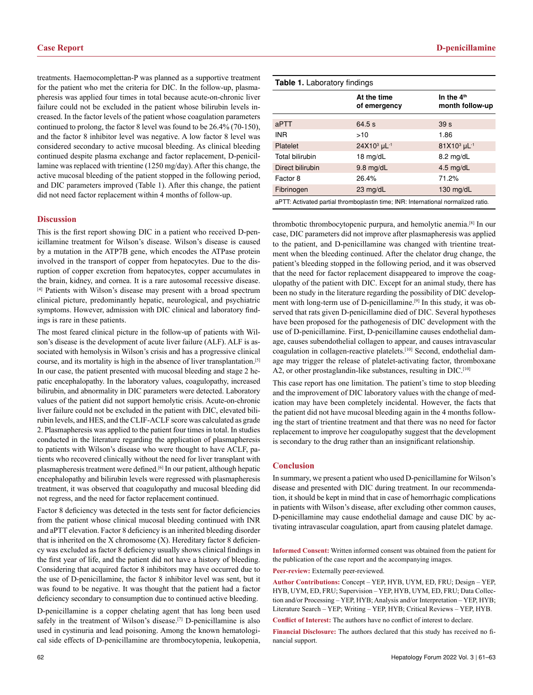treatments. Haemocomplettan-P was planned as a supportive treatment for the patient who met the criteria for DIC. In the follow-up, plasmapheresis was applied four times in total because acute-on-chronic liver failure could not be excluded in the patient whose bilirubin levels increased. In the factor levels of the patient whose coagulation parameters continued to prolong, the factor 8 level was found to be 26.4% (70-150), and the factor 8 inhibitor level was negative. A low factor 8 level was considered secondary to active mucosal bleeding. As clinical bleeding continued despite plasma exchange and factor replacement, D-penicillamine was replaced with trientine (1250 mg/day). After this change, the active mucosal bleeding of the patient stopped in the following period, and DIC parameters improved (Table 1). After this change, the patient did not need factor replacement within 4 months of follow-up.

#### **Discussion**

This is the first report showing DIC in a patient who received D-penicillamine treatment for Wilson's disease. Wilson's disease is caused by a mutation in the ATP7B gene, which encodes the ATPase protein involved in the transport of copper from hepatocytes. Due to the disruption of copper excretion from hepatocytes, copper accumulates in the brain, kidney, and cornea. It is a rare autosomal recessive disease. [4] Patients with Wilson's disease may present with a broad spectrum clinical picture, predominantly hepatic, neurological, and psychiatric symptoms. However, admission with DIC clinical and laboratory findings is rare in these patients.

The most feared clinical picture in the follow-up of patients with Wilson's disease is the development of acute liver failure (ALF). ALF is associated with hemolysis in Wilson's crisis and has a progressive clinical course, and its mortality is high in the absence of liver transplantation.[5] In our case, the patient presented with mucosal bleeding and stage 2 hepatic encephalopathy. In the laboratory values, coagulopathy, increased bilirubin, and abnormality in DIC parameters were detected. Laboratory values of the patient did not support hemolytic crisis. Acute-on-chronic liver failure could not be excluded in the patient with DIC, elevated bilirubin levels, and HES, and the CLIF-ACLF score was calculated as grade 2. Plasmapheresis was applied to the patient four times in total. In studies conducted in the literature regarding the application of plasmapheresis to patients with Wilson's disease who were thought to have ACLF, patients who recovered clinically without the need for liver transplant with plasmapheresis treatment were defined.<sup>[6]</sup> In our patient, although hepatic encephalopathy and bilirubin levels were regressed with plasmapheresis treatment, it was observed that coagulopathy and mucosal bleeding did not regress, and the need for factor replacement continued.

Factor 8 deficiency was detected in the tests sent for factor deficiencies from the patient whose clinical mucosal bleeding continued with INR and aPTT elevation. Factor 8 deficiency is an inherited bleeding disorder that is inherited on the X chromosome (X). Hereditary factor 8 deficiency was excluded as factor 8 deficiency usually shows clinical findings in the first year of life, and the patient did not have a history of bleeding. Considering that acquired factor 8 inhibitors may have occurred due to the use of D-penicillamine, the factor 8 inhibitor level was sent, but it was found to be negative. It was thought that the patient had a factor deficiency secondary to consumption due to continued active bleeding.

D-penicillamine is a copper chelating agent that has long been used safely in the treatment of Wilson's disease.<sup>[7]</sup> D-penicillamine is also used in cystinuria and lead poisoning. Among the known hematological side effects of D-penicillamine are thrombocytopenia, leukopenia,

| <b>Table 1.</b> Laboratory findings                                               |                                     |                                 |
|-----------------------------------------------------------------------------------|-------------------------------------|---------------------------------|
|                                                                                   | At the time<br>of emergency         | In the $4th$<br>month follow-up |
| aPTT                                                                              | 64.5 s                              | 39 <sub>s</sub>                 |
| <b>INR</b>                                                                        | >10                                 | 1.86                            |
| Platelet                                                                          | 24X10 <sup>3</sup> µL <sup>-1</sup> | 81X10 <sup>3</sup> µL-1         |
| Total bilirubin                                                                   | 18 $mq/dL$                          | $8.2 \text{ mg/dL}$             |
| Direct bilirubin                                                                  | $9.8$ mg/dL                         | $4.5$ mg/dL                     |
| Factor 8                                                                          | 26.4%                               | 71.2%                           |
| Fibrinogen                                                                        | $23 \text{ mg/dL}$                  | $130 \text{ mg/dL}$             |
| aPTT: Activated partial thromboplastin time; INR: International normalized ratio. |                                     |                                 |

thrombotic thrombocytopenic purpura, and hemolytic anemia.[8] In our case, DIC parameters did not improve after plasmapheresis was applied to the patient, and D-penicillamine was changed with trientine treatment when the bleeding continued. After the chelator drug change, the patient's bleeding stopped in the following period, and it was observed that the need for factor replacement disappeared to improve the coagulopathy of the patient with DIC. Except for an animal study, there has been no study in the literature regarding the possibility of DIC development with long-term use of D-penicillamine.[9] In this study, it was observed that rats given D-penicillamine died of DIC. Several hypotheses have been proposed for the pathogenesis of DIC development with the use of D-penicillamine. First, D-penicillamine causes endothelial damage, causes subendothelial collagen to appear, and causes intravascular coagulation in collagen-reactive platelets.<sup>[10]</sup> Second, endothelial damage may trigger the release of platelet-activating factor, thromboxane A2, or other prostaglandin-like substances, resulting in DIC.<sup>[10]</sup>

This case report has one limitation. The patient's time to stop bleeding and the improvement of DIC laboratory values with the change of medication may have been completely incidental. However, the facts that the patient did not have mucosal bleeding again in the 4 months following the start of trientine treatment and that there was no need for factor replacement to improve her coagulopathy suggest that the development is secondary to the drug rather than an insignificant relationship.

## **Conclusion**

In summary, we present a patient who used D-penicillamine for Wilson's disease and presented with DIC during treatment. In our recommendation, it should be kept in mind that in case of hemorrhagic complications in patients with Wilson's disease, after excluding other common causes, D-penicillamine may cause endothelial damage and cause DIC by activating intravascular coagulation, apart from causing platelet damage.

**Informed Consent:** Written informed consent was obtained from the patient for the publication of the case report and the accompanying images.

**Peer-review:** Externally peer-reviewed.

**Author Contributions:** Concept – YEP, HYB, UYM, ED, FRU; Design – YEP, HYB, UYM, ED, FRU; Supervision – YEP, HYB, UYM, ED, FRU; Data Collection and/or Processing – YEP, HYB; Analysis and/or Interpretation – YEP, HYB; Literature Search – YEP; Writing – YEP, HYB; Critical Reviews – YEP, HYB.

**Conflict of Interest:** The authors have no conflict of interest to declare.

**Financial Disclosure:** The authors declared that this study has received no financial support.